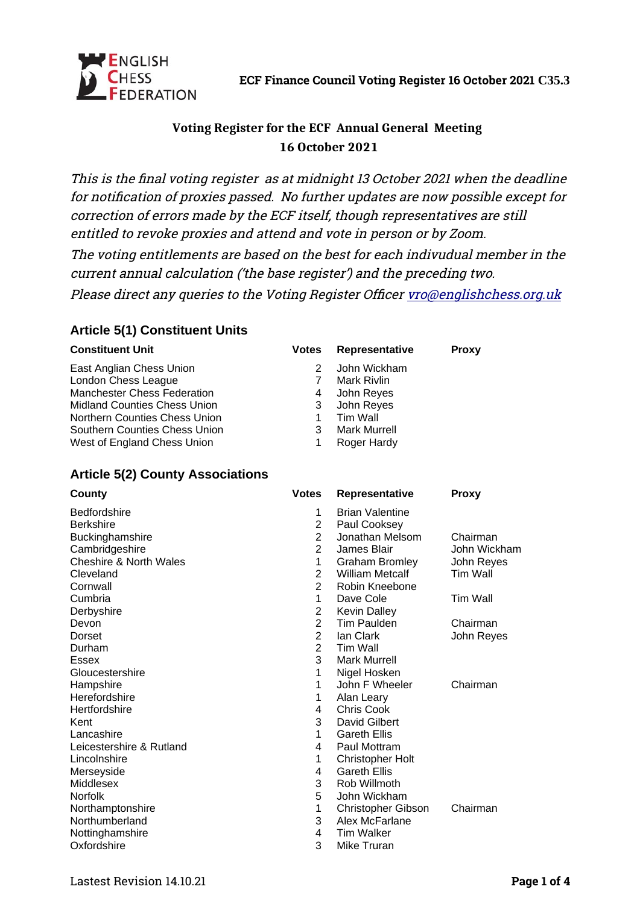

# **Voting Register for the ECF Annual General Meeting 16 October 2021**

This is the final voting register as at midnight 13 October 2021 when the deadline for notification of proxies passed. No further updates are now possible except for correction of errors made by the ECF itself, though representatives are still entitled to revoke proxies and attend and vote in person or by Zoom.

The voting entitlements are based on the best for each indivudual member in the current annual calculation ('the base register') and the preceding two.

Please direct any queries to the Voting Register Officer [vro@englishchess.org.uk](mailto:vro@englishchess.org.uk)

### **Article 5(1) Constituent Units**

| <b>Constituent Unit</b>             | <b>Votes</b> | Representative      | <b>Proxy</b> |
|-------------------------------------|--------------|---------------------|--------------|
| East Anglian Chess Union            |              | John Wickham        |              |
| London Chess League                 |              | Mark Rivlin         |              |
| <b>Manchester Chess Federation</b>  | 4            | John Reyes          |              |
| <b>Midland Counties Chess Union</b> | 3            | John Reyes          |              |
| Northern Counties Chess Union       |              | Tim Wall            |              |
| Southern Counties Chess Union       | 3            | <b>Mark Murrell</b> |              |
| West of England Chess Union         |              | Roger Hardy         |              |

### **Article 5(2) County Associations**

| County                   | <b>Votes</b>   | Representative            | <b>Proxy</b>    |
|--------------------------|----------------|---------------------------|-----------------|
| <b>Bedfordshire</b>      | 1              | <b>Brian Valentine</b>    |                 |
| <b>Berkshire</b>         | $\overline{c}$ | Paul Cooksey              |                 |
| Buckinghamshire          | $\overline{2}$ | Jonathan Melsom           | Chairman        |
| Cambridgeshire           | $\overline{2}$ | James Blair               | John Wickham    |
| Cheshire & North Wales   | 1              | <b>Graham Bromley</b>     | John Reyes      |
| Cleveland                | $\overline{c}$ | <b>William Metcalf</b>    | Tim Wall        |
| Cornwall                 | $\overline{2}$ | Robin Kneebone            |                 |
| Cumbria                  | 1              | Dave Cole                 | <b>Tim Wall</b> |
| Derbyshire               | $\overline{c}$ | <b>Kevin Dalley</b>       |                 |
| Devon                    | $\overline{2}$ | Tim Paulden               | Chairman        |
| Dorset                   | $\overline{2}$ | lan Clark                 | John Reyes      |
| Durham                   | $\overline{c}$ | Tim Wall                  |                 |
| <b>Essex</b>             | 3              | <b>Mark Murrell</b>       |                 |
| Gloucestershire          | 1              | Nigel Hosken              |                 |
| Hampshire                | 1              | John F Wheeler            | Chairman        |
| Herefordshire            | 1              | Alan Leary                |                 |
| Hertfordshire            | 4              | Chris Cook                |                 |
| Kent                     | 3              | David Gilbert             |                 |
| Lancashire               | 1              | <b>Gareth Ellis</b>       |                 |
| Leicestershire & Rutland | 4              | Paul Mottram              |                 |
| Lincolnshire             | 1              | <b>Christopher Holt</b>   |                 |
| Merseyside               | 4              | <b>Gareth Ellis</b>       |                 |
| Middlesex                | 3              | Rob Willmoth              |                 |
| <b>Norfolk</b>           | 5              | John Wickham              |                 |
| Northamptonshire         | 1              | <b>Christopher Gibson</b> | Chairman        |
| Northumberland           | 3              | Alex McFarlane            |                 |
| Nottinghamshire          | 4              | <b>Tim Walker</b>         |                 |
| Oxfordshire              | 3              | Mike Truran               |                 |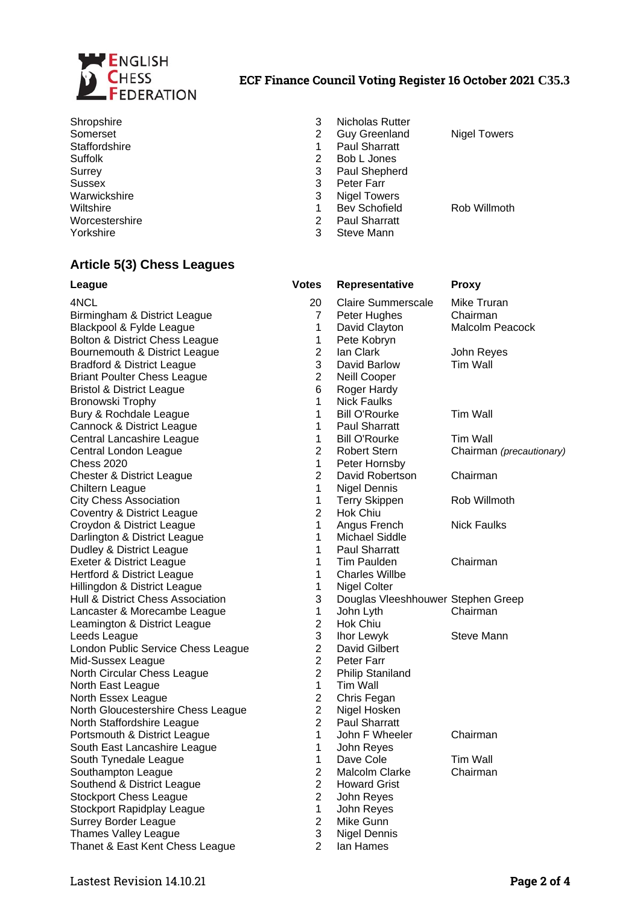

#### **ECF Finance Council Voting Register 16 October 2021 C35.3**

Sussex 3 Peter Farr Worcestershire 2 Paul Sharratt<br>
Yorkshire 2 2 Steve Mann

#### Shropshire 3 Nicholas Rutter<br>
Somerset 2 Guy Greenland 2 Guy Greenland Nigel Towers Staffordshire 1 Paul Sharratt<br>
Suffolk 2 Bob L Jones Suffolk 2 Bob L Jones Surrey 3 Paul Shepherd 3 Nigel Towers Wiltshire **1** Bev Schofield **Rob Willmoth** Steve Mann

**Article 5(3) Chess Leagues**

| League                                | <b>Votes</b>   | Representative                     | <b>Proxy</b>             |
|---------------------------------------|----------------|------------------------------------|--------------------------|
| 4NCL                                  | 20             | Claire Summerscale                 | Mike Truran              |
| Birmingham & District League          | 7              | Peter Hughes                       | Chairman                 |
| Blackpool & Fylde League              | 1              | David Clayton                      | Malcolm Peacock          |
| Bolton & District Chess League        | 1              | Pete Kobryn                        |                          |
| Bournemouth & District League         | $\overline{c}$ | lan Clark                          | John Reyes               |
| <b>Bradford &amp; District League</b> | 3              | David Barlow                       | <b>Tim Wall</b>          |
| <b>Briant Poulter Chess League</b>    | $\overline{2}$ | Neill Cooper                       |                          |
| <b>Bristol &amp; District League</b>  | 6              | Roger Hardy                        |                          |
| Bronowski Trophy                      | $\mathbf{1}$   | <b>Nick Faulks</b>                 |                          |
| Bury & Rochdale League                | $\mathbf 1$    | <b>Bill O'Rourke</b>               | <b>Tim Wall</b>          |
| Cannock & District League             | $\mathbf 1$    | <b>Paul Sharratt</b>               |                          |
| Central Lancashire League             | $\mathbf 1$    | <b>Bill O'Rourke</b>               | Tim Wall                 |
| Central London League                 | $\overline{2}$ | <b>Robert Stern</b>                | Chairman (precautionary) |
| <b>Chess 2020</b>                     | $\mathbf{1}$   | Peter Hornsby                      |                          |
| <b>Chester &amp; District League</b>  | $\overline{2}$ | David Robertson                    | Chairman                 |
| Chiltern League                       | $\mathbf{1}$   | <b>Nigel Dennis</b>                |                          |
| <b>City Chess Association</b>         | $\mathbf 1$    | <b>Terry Skippen</b>               | Rob Willmoth             |
| Coventry & District League            | $\overline{c}$ | Hok Chiu                           |                          |
| Croydon & District League             | 1              | Angus French                       | <b>Nick Faulks</b>       |
| Darlington & District League          | $\mathbf{1}$   | Michael Siddle                     |                          |
| Dudley & District League              | $\mathbf 1$    | <b>Paul Sharratt</b>               |                          |
| Exeter & District League              | $\mathbf 1$    | <b>Tim Paulden</b>                 | Chairman                 |
| Hertford & District League            | $\mathbf 1$    | <b>Charles Willbe</b>              |                          |
| Hillingdon & District League          | 1              | Nigel Colter                       |                          |
| Hull & District Chess Association     | 3              | Douglas Vleeshhouwer Stephen Greep |                          |
| Lancaster & Morecambe League          | $\mathbf{1}$   | John Lyth                          | Chairman                 |
| Leamington & District League          | $\overline{2}$ | Hok Chiu                           |                          |
| Leeds League                          | 3              | Ihor Lewyk                         | <b>Steve Mann</b>        |
| London Public Service Chess League    | $\overline{2}$ | David Gilbert                      |                          |
| Mid-Sussex League                     | $\overline{2}$ | Peter Farr                         |                          |
| North Circular Chess League           | $\overline{2}$ | <b>Philip Staniland</b>            |                          |
| North East League                     | $\mathbf 1$    | Tim Wall                           |                          |
| North Essex League                    | $\overline{2}$ | Chris Fegan                        |                          |
| North Gloucestershire Chess League    | $\overline{c}$ | Nigel Hosken                       |                          |
| North Staffordshire League            | $\overline{2}$ | <b>Paul Sharratt</b>               |                          |
| Portsmouth & District League          | $\mathbf 1$    | John F Wheeler                     | Chairman                 |
| South East Lancashire League          | 1              | John Reyes                         |                          |
| South Tynedale League                 | 1              | Dave Cole                          | Tim Wall                 |
| Southampton League                    | $\overline{c}$ | Malcolm Clarke                     | Chairman                 |
| Southend & District League            | $\overline{2}$ | <b>Howard Grist</b>                |                          |
| <b>Stockport Chess League</b>         | $\overline{c}$ | John Reyes                         |                          |
| Stockport Rapidplay League            | 1              | John Reyes                         |                          |
| <b>Surrey Border League</b>           | $\overline{c}$ | Mike Gunn                          |                          |
| Thames Valley League                  | 3              | <b>Nigel Dennis</b>                |                          |
| Thanet & East Kent Chess League       | $\mathcal{P}$  | lan Hames                          |                          |

Lastest Revision 14.10.21 **Page 2 of 4**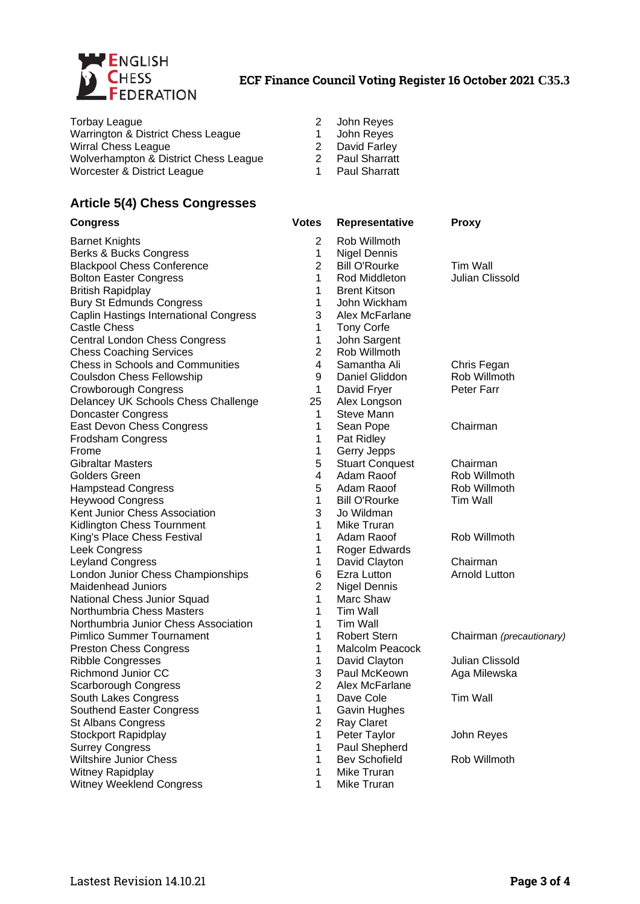

| Torbay League                         | 2 John Reyes         |
|---------------------------------------|----------------------|
| Warrington & District Chess League    | John Reyes           |
| Wirral Chess League                   | David Farley         |
| Wolverhampton & District Chess League | <b>Paul Sharratt</b> |
| Worcester & District League           | <b>Paul Sharratt</b> |

### **Article 5(4) Chess Congresses**

| <b>Congress</b>                        | <b>Votes</b>   | Representative         | <b>Proxy</b>             |
|----------------------------------------|----------------|------------------------|--------------------------|
| <b>Barnet Knights</b>                  | $\overline{2}$ | Rob Willmoth           |                          |
| Berks & Bucks Congress                 | 1              | <b>Nigel Dennis</b>    |                          |
| <b>Blackpool Chess Conference</b>      | $\overline{2}$ | <b>Bill O'Rourke</b>   | <b>Tim Wall</b>          |
| <b>Bolton Easter Congress</b>          | $\mathbf{1}$   | Rod Middleton          | Julian Clissold          |
| <b>British Rapidplay</b>               | 1              | <b>Brent Kitson</b>    |                          |
| <b>Bury St Edmunds Congress</b>        | $\mathbf{1}$   | John Wickham           |                          |
| Caplin Hastings International Congress | 3              | Alex McFarlane         |                          |
| <b>Castle Chess</b>                    | 1              | <b>Tony Corfe</b>      |                          |
| Central London Chess Congress          | $\mathbf{1}$   | John Sargent           |                          |
| <b>Chess Coaching Services</b>         | $\overline{c}$ | Rob Willmoth           |                          |
| Chess in Schools and Communities       | 4              | Samantha Ali           | Chris Fegan              |
| Coulsdon Chess Fellowship              | 9              | Daniel Gliddon         | Rob Willmoth             |
| Crowborough Congress                   | 1              | David Fryer            | Peter Farr               |
| Delancey UK Schools Chess Challenge    | 25             | Alex Longson           |                          |
| Doncaster Congress                     | 1              | Steve Mann             |                          |
| East Devon Chess Congress              | $\mathbf{1}$   | Sean Pope              | Chairman                 |
| Frodsham Congress                      | 1              | Pat Ridley             |                          |
| Frome                                  | $\mathbf{1}$   | Gerry Jepps            |                          |
| <b>Gibraltar Masters</b>               | 5              | <b>Stuart Conquest</b> | Chairman                 |
| <b>Golders Green</b>                   | 4              | Adam Raoof             | Rob Willmoth             |
| <b>Hampstead Congress</b>              | 5              | Adam Raoof             | Rob Willmoth             |
| <b>Heywood Congress</b>                | $\mathbf{1}$   | <b>Bill O'Rourke</b>   | Tim Wall                 |
| Kent Junior Chess Association          | 3              | Jo Wildman             |                          |
| Kidlington Chess Tournment             | $\mathbf{1}$   | Mike Truran            |                          |
| King's Place Chess Festival            | $\mathbf{1}$   | Adam Raoof             | Rob Willmoth             |
| Leek Congress                          | 1              | Roger Edwards          |                          |
| <b>Leyland Congress</b>                | 1              | David Clayton          | Chairman                 |
| London Junior Chess Championships      | 6              | Ezra Lutton            | <b>Arnold Lutton</b>     |
| <b>Maidenhead Juniors</b>              | $\overline{c}$ | <b>Nigel Dennis</b>    |                          |
| National Chess Junior Squad            | $\mathbf{1}$   | Marc Shaw              |                          |
| Northumbria Chess Masters              | $\mathbf{1}$   | Tim Wall               |                          |
| Northumbria Junior Chess Association   | $\mathbf{1}$   | Tim Wall               |                          |
| Pimlico Summer Tournament              | $\mathbf{1}$   | <b>Robert Stern</b>    | Chairman (precautionary) |
| <b>Preston Chess Congress</b>          | $\mathbf{1}$   | Malcolm Peacock        |                          |
| <b>Ribble Congresses</b>               | $\mathbf{1}$   | David Clayton          | Julian Clissold          |
| Richmond Junior CC                     | 3              | Paul McKeown           | Aga Milewska             |
| Scarborough Congress                   | $\overline{2}$ | Alex McFarlane         |                          |
| South Lakes Congress                   | 1              | Dave Cole              | Tim Wall                 |
| Southend Easter Congress               | 1              | Gavin Hughes           |                          |
| <b>St Albans Congress</b>              | $\overline{c}$ | Ray Claret             |                          |
| <b>Stockport Rapidplay</b>             | 1              | Peter Taylor           | John Reyes               |
| <b>Surrey Congress</b>                 | $\mathbf{1}$   | Paul Shepherd          |                          |
| Wiltshire Junior Chess                 | $\mathbf{1}$   | <b>Bev Schofield</b>   | Rob Willmoth             |
| Witney Rapidplay                       | 1              | Mike Truran            |                          |
| Witney Weeklend Congress               | 1              | Mike Truran            |                          |